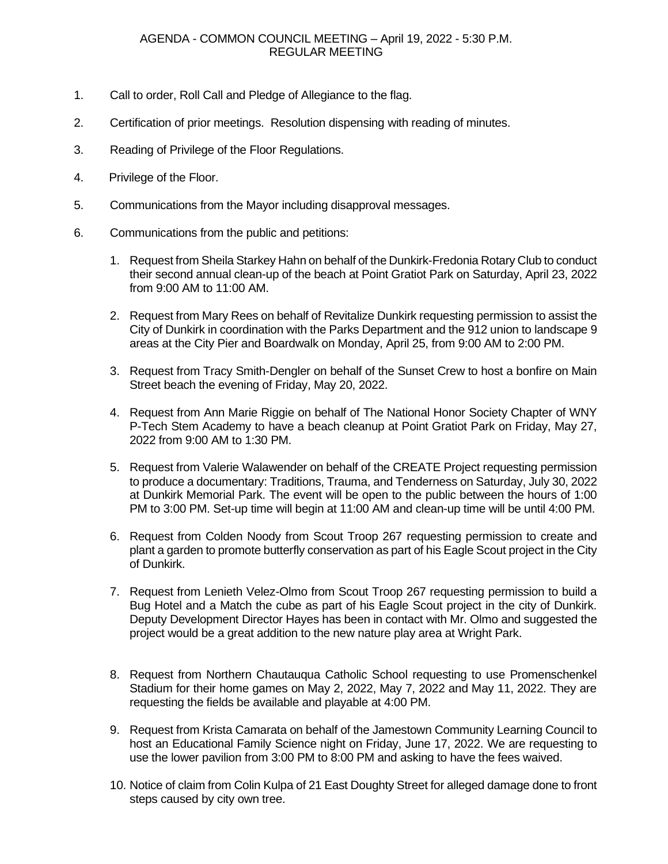## AGENDA - COMMON COUNCIL MEETING – April 19, 2022 - 5:30 P.M. REGULAR MEETING

- 1. Call to order, Roll Call and Pledge of Allegiance to the flag.
- 2. Certification of prior meetings. Resolution dispensing with reading of minutes.
- 3. Reading of Privilege of the Floor Regulations.
- 4. Privilege of the Floor.
- 5. Communications from the Mayor including disapproval messages.
- 6. Communications from the public and petitions:
	- 1. Request from Sheila Starkey Hahn on behalf of the Dunkirk-Fredonia Rotary Club to conduct their second annual clean-up of the beach at Point Gratiot Park on Saturday, April 23, 2022 from 9:00 AM to 11:00 AM.
	- 2. Request from Mary Rees on behalf of Revitalize Dunkirk requesting permission to assist the City of Dunkirk in coordination with the Parks Department and the 912 union to landscape 9 areas at the City Pier and Boardwalk on Monday, April 25, from 9:00 AM to 2:00 PM.
	- 3. Request from Tracy Smith-Dengler on behalf of the Sunset Crew to host a bonfire on Main Street beach the evening of Friday, May 20, 2022.
	- 4. Request from Ann Marie Riggie on behalf of The National Honor Society Chapter of WNY P-Tech Stem Academy to have a beach cleanup at Point Gratiot Park on Friday, May 27, 2022 from 9:00 AM to 1:30 PM.
	- 5. Request from Valerie Walawender on behalf of the CREATE Project requesting permission to produce a documentary: Traditions, Trauma, and Tenderness on Saturday, July 30, 2022 at Dunkirk Memorial Park. The event will be open to the public between the hours of 1:00 PM to 3:00 PM. Set-up time will begin at 11:00 AM and clean-up time will be until 4:00 PM.
	- 6. Request from Colden Noody from Scout Troop 267 requesting permission to create and plant a garden to promote butterfly conservation as part of his Eagle Scout project in the City of Dunkirk.
	- 7. Request from Lenieth Velez-Olmo from Scout Troop 267 requesting permission to build a Bug Hotel and a Match the cube as part of his Eagle Scout project in the city of Dunkirk. Deputy Development Director Hayes has been in contact with Mr. Olmo and suggested the project would be a great addition to the new nature play area at Wright Park.
	- 8. Request from Northern Chautauqua Catholic School requesting to use Promenschenkel Stadium for their home games on May 2, 2022, May 7, 2022 and May 11, 2022. They are requesting the fields be available and playable at 4:00 PM.
	- 9. Request from Krista Camarata on behalf of the Jamestown Community Learning Council to host an Educational Family Science night on Friday, June 17, 2022. We are requesting to use the lower pavilion from 3:00 PM to 8:00 PM and asking to have the fees waived.
	- 10. Notice of claim from Colin Kulpa of 21 East Doughty Street for alleged damage done to front steps caused by city own tree.